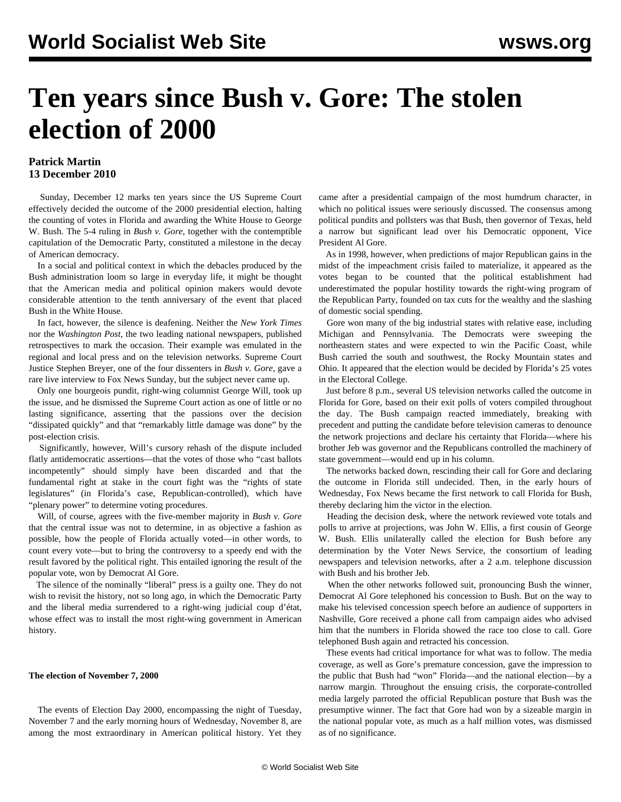# **Ten years since Bush v. Gore: The stolen election of 2000**

### **Patrick Martin 13 December 2010**

 Sunday, December 12 marks ten years since the US Supreme Court effectively decided the outcome of the 2000 presidential election, halting the counting of votes in Florida and awarding the White House to George W. Bush. The 5-4 ruling in *Bush v. Gore*, together with the contemptible capitulation of the Democratic Party, constituted a milestone in the decay of American democracy.

 In a social and political context in which the debacles produced by the Bush administration loom so large in everyday life, it might be thought that the American media and political opinion makers would devote considerable attention to the tenth anniversary of the event that placed Bush in the White House.

 In fact, however, the silence is deafening. Neither the *New York Times* nor the *Washington Post*, the two leading national newspapers, published retrospectives to mark the occasion. Their example was emulated in the regional and local press and on the television networks. Supreme Court Justice Stephen Breyer, one of the four dissenters in *Bush v. Gore*, gave a rare live interview to Fox News Sunday, but the subject never came up.

 Only one bourgeois pundit, right-wing columnist George Will, took up the issue, and he dismissed the Supreme Court action as one of little or no lasting significance, asserting that the passions over the decision "dissipated quickly" and that "remarkably little damage was done" by the post-election crisis.

 Significantly, however, Will's cursory rehash of the dispute included flatly antidemocratic assertions—that the votes of those who "cast ballots incompetently" should simply have been discarded and that the fundamental right at stake in the court fight was the "rights of state legislatures" (in Florida's case, Republican-controlled), which have "plenary power" to determine voting procedures.

 Will, of course, agrees with the five-member majority in *Bush v. Gore* that the central issue was not to determine, in as objective a fashion as possible, how the people of Florida actually voted—in other words, to count every vote—but to bring the controversy to a speedy end with the result favored by the political right. This entailed ignoring the result of the popular vote, won by Democrat Al Gore.

 The silence of the nominally "liberal" press is a guilty one. They do not wish to revisit the history, not so long ago, in which the Democratic Party and the liberal media surrendered to a right-wing judicial coup d'état, whose effect was to install the most right-wing government in American history.

#### **The election of November 7, 2000**

 The events of Election Day 2000, encompassing the night of Tuesday, November 7 and the early morning hours of Wednesday, November 8, are among the most extraordinary in American political history. Yet they came after a presidential campaign of the most humdrum character, in which no political issues were seriously discussed. The consensus among political pundits and pollsters was that Bush, then governor of Texas, held a narrow but significant lead over his Democratic opponent, Vice President Al Gore.

 As in 1998, however, when predictions of major Republican gains in the midst of the impeachment crisis failed to materialize, it appeared as the votes began to be counted that the political establishment had underestimated the popular hostility towards the right-wing program of the Republican Party, founded on tax cuts for the wealthy and the slashing of domestic social spending.

 Gore won many of the big industrial states with relative ease, including Michigan and Pennsylvania. The Democrats were sweeping the northeastern states and were expected to win the Pacific Coast, while Bush carried the south and southwest, the Rocky Mountain states and Ohio. It appeared that the election would be decided by Florida's 25 votes in the Electoral College.

 Just before 8 p.m., several US television networks called the outcome in Florida for Gore, based on their exit polls of voters compiled throughout the day. The Bush campaign reacted immediately, breaking with precedent and putting the candidate before television cameras to denounce the network projections and declare his certainty that Florida—where his brother Jeb was governor and the Republicans controlled the machinery of state government—would end up in his column.

 The networks backed down, rescinding their call for Gore and declaring the outcome in Florida still undecided. Then, in the early hours of Wednesday, Fox News became the first network to call Florida for Bush, thereby declaring him the victor in the election.

 Heading the decision desk, where the network reviewed vote totals and polls to arrive at projections, was John W. Ellis, a first cousin of George W. Bush. Ellis unilaterally called the election for Bush before any determination by the Voter News Service, the consortium of leading newspapers and television networks, after a 2 a.m. telephone discussion with Bush and his brother Jeb.

 When the other networks followed suit, pronouncing Bush the winner, Democrat Al Gore telephoned his concession to Bush. But on the way to make his televised concession speech before an audience of supporters in Nashville, Gore received a phone call from campaign aides who advised him that the numbers in Florida showed the race too close to call. Gore telephoned Bush again and retracted his concession.

 These events had critical importance for what was to follow. The media coverage, as well as Gore's premature concession, gave the impression to the public that Bush had "won" Florida—and the national election—by a narrow margin. Throughout the ensuing crisis, the corporate-controlled media largely parroted the official Republican posture that Bush was the presumptive winner. The fact that Gore had won by a sizeable margin in the national popular vote, as much as a half million votes, was dismissed as of no significance.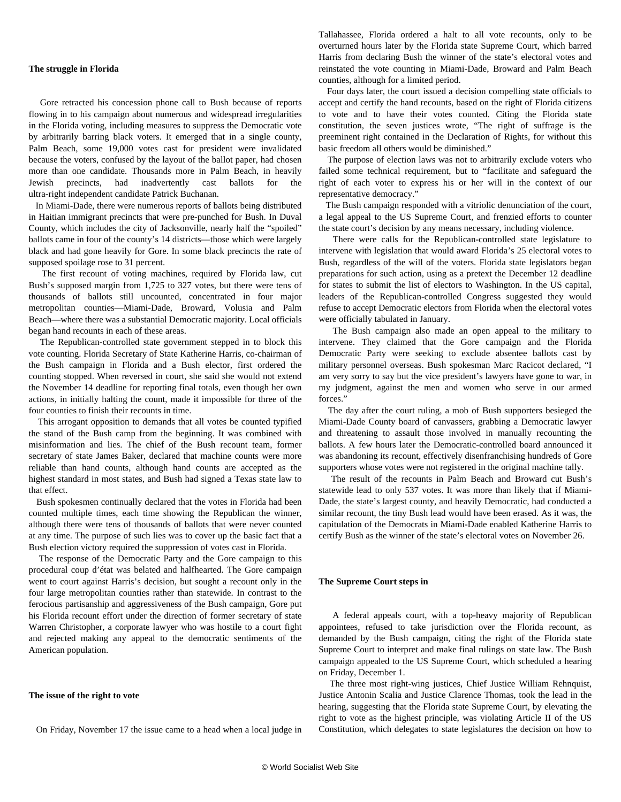#### **The struggle in Florida**

 Gore retracted his concession phone call to Bush because of reports flowing in to his campaign about numerous and widespread irregularities in the Florida voting, including measures to suppress the Democratic vote by arbitrarily barring black voters. It emerged that in a single county, Palm Beach, some 19,000 votes cast for president were invalidated because the voters, confused by the layout of the ballot paper, had chosen more than one candidate. Thousands more in Palm Beach, in heavily Jewish precincts, had inadvertently cast ballots for the ultra-right independent candidate Patrick Buchanan.

 In Miami-Dade, there were numerous reports of ballots being distributed in Haitian immigrant precincts that were pre-punched for Bush. In Duval County, which includes the city of Jacksonville, nearly half the "spoiled" ballots came in four of the county's 14 districts—those which were largely black and had gone heavily for Gore. In some black precincts the rate of supposed spoilage rose to 31 percent.

 The first recount of voting machines, required by Florida law, cut Bush's supposed margin from 1,725 to 327 votes, but there were tens of thousands of ballots still uncounted, concentrated in four major metropolitan counties—Miami-Dade, Broward, Volusia and Palm Beach—where there was a substantial Democratic majority. Local officials began hand recounts in each of these areas.

 The Republican-controlled state government stepped in to block this vote counting. Florida Secretary of State Katherine Harris, co-chairman of the Bush campaign in Florida and a Bush elector, first ordered the counting stopped. When reversed in court, she said she would not extend the November 14 deadline for reporting final totals, even though her own actions, in initially halting the count, made it impossible for three of the four counties to finish their recounts in time.

 This arrogant opposition to demands that all votes be counted typified the stand of the Bush camp from the beginning. It was combined with misinformation and lies. The chief of the Bush recount team, former secretary of state James Baker, declared that machine counts were more reliable than hand counts, although hand counts are accepted as the highest standard in most states, and Bush had signed a Texas state law to that effect.

 Bush spokesmen continually declared that the votes in Florida had been counted multiple times, each time showing the Republican the winner, although there were tens of thousands of ballots that were never counted at any time. The purpose of such lies was to cover up the basic fact that a Bush election victory required the suppression of votes cast in Florida.

 The response of the Democratic Party and the Gore campaign to this procedural coup d'état was belated and halfhearted. The Gore campaign went to court against Harris's decision, but sought a recount only in the four large metropolitan counties rather than statewide. In contrast to the ferocious partisanship and aggressiveness of the Bush campaign, Gore put his Florida recount effort under the direction of former secretary of state Warren Christopher, a corporate lawyer who was hostile to a court fight and rejected making any appeal to the democratic sentiments of the American population.

#### **The issue of the right to vote**

On Friday, November 17 the issue came to a head when a local judge in

Tallahassee, Florida ordered a halt to all vote recounts, only to be overturned hours later by the Florida state Supreme Court, which barred Harris from declaring Bush the winner of the state's electoral votes and reinstated the vote counting in Miami-Dade, Broward and Palm Beach counties, although for a limited period.

 Four days later, the court issued a decision compelling state officials to accept and certify the hand recounts, based on the right of Florida citizens to vote and to have their votes counted. Citing the Florida state constitution, the seven justices wrote, "The right of suffrage is the preeminent right contained in the Declaration of Rights, for without this basic freedom all others would be diminished."

 The purpose of election laws was not to arbitrarily exclude voters who failed some technical requirement, but to "facilitate and safeguard the right of each voter to express his or her will in the context of our representative democracy."

 The Bush campaign responded with a vitriolic denunciation of the court, a legal appeal to the US Supreme Court, and frenzied efforts to counter the state court's decision by any means necessary, including violence.

 There were calls for the Republican-controlled state legislature to intervene with legislation that would award Florida's 25 electoral votes to Bush, regardless of the will of the voters. Florida state legislators began preparations for such action, using as a pretext the December 12 deadline for states to submit the list of electors to Washington. In the US capital, leaders of the Republican-controlled Congress suggested they would refuse to accept Democratic electors from Florida when the electoral votes were officially tabulated in January.

 The Bush campaign also made an open appeal to the military to intervene. They claimed that the Gore campaign and the Florida Democratic Party were seeking to exclude absentee ballots cast by military personnel overseas. Bush spokesman Marc Racicot declared, "I am very sorry to say but the vice president's lawyers have gone to war, in my judgment, against the men and women who serve in our armed forces."

 The day after the court ruling, a mob of Bush supporters besieged the Miami-Dade County board of canvassers, grabbing a Democratic lawyer and threatening to assault those involved in manually recounting the ballots. A few hours later the Democratic-controlled board announced it was abandoning its recount, effectively disenfranchising hundreds of Gore supporters whose votes were not registered in the original machine tally.

 The result of the recounts in Palm Beach and Broward cut Bush's statewide lead to only 537 votes. It was more than likely that if Miami-Dade, the state's largest county, and heavily Democratic, had conducted a similar recount, the tiny Bush lead would have been erased. As it was, the capitulation of the Democrats in Miami-Dade enabled Katherine Harris to certify Bush as the winner of the state's electoral votes on November 26.

#### **The Supreme Court steps in**

 A federal appeals court, with a top-heavy majority of Republican appointees, refused to take jurisdiction over the Florida recount, as demanded by the Bush campaign, citing the right of the Florida state Supreme Court to interpret and make final rulings on state law. The Bush campaign appealed to the US Supreme Court, which scheduled a hearing on Friday, December 1.

 The three most right-wing justices, Chief Justice William Rehnquist, Justice Antonin Scalia and Justice Clarence Thomas, took the lead in the hearing, suggesting that the Florida state Supreme Court, by elevating the right to vote as the highest principle, was violating Article II of the US Constitution, which delegates to state legislatures the decision on how to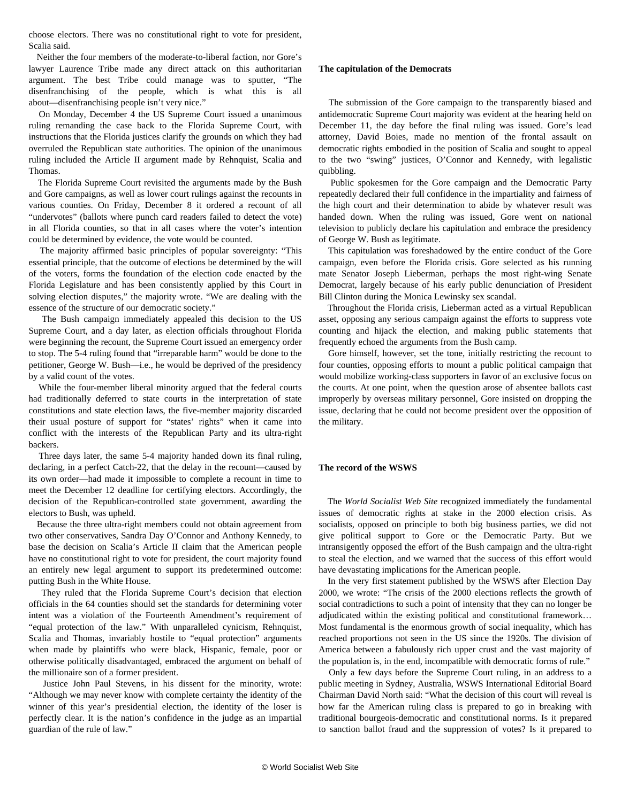choose electors. There was no constitutional right to vote for president, Scalia said.

 Neither the four members of the moderate-to-liberal faction, nor Gore's lawyer Laurence Tribe made any direct attack on this authoritarian argument. The best Tribe could manage was to sputter, "The disenfranchising of the people, which is what this is all about—disenfranchising people isn't very nice."

 On Monday, December 4 the US Supreme Court issued a unanimous ruling remanding the case back to the Florida Supreme Court, with instructions that the Florida justices clarify the grounds on which they had overruled the Republican state authorities. The opinion of the unanimous ruling included the Article II argument made by Rehnquist, Scalia and Thomas.

 The Florida Supreme Court revisited the arguments made by the Bush and Gore campaigns, as well as lower court rulings against the recounts in various counties. On Friday, December 8 it ordered a recount of all "undervotes" (ballots where punch card readers failed to detect the vote) in all Florida counties, so that in all cases where the voter's intention could be determined by evidence, the vote would be counted.

 The majority affirmed basic principles of popular sovereignty: "This essential principle, that the outcome of elections be determined by the will of the voters, forms the foundation of the election code enacted by the Florida Legislature and has been consistently applied by this Court in solving election disputes," the majority wrote. "We are dealing with the essence of the structure of our democratic society."

 The Bush campaign immediately appealed this decision to the US Supreme Court, and a day later, as election officials throughout Florida were beginning the recount, the Supreme Court issued an emergency order to stop. The 5-4 ruling found that "irreparable harm" would be done to the petitioner, George W. Bush—i.e., he would be deprived of the presidency by a valid count of the votes.

 While the four-member liberal minority argued that the federal courts had traditionally deferred to state courts in the interpretation of state constitutions and state election laws, the five-member majority discarded their usual posture of support for "states' rights" when it came into conflict with the interests of the Republican Party and its ultra-right backers.

 Three days later, the same 5-4 majority handed down its final ruling, declaring, in a perfect Catch-22, that the delay in the recount—caused by its own order—had made it impossible to complete a recount in time to meet the December 12 deadline for certifying electors. Accordingly, the decision of the Republican-controlled state government, awarding the electors to Bush, was upheld.

 Because the three ultra-right members could not obtain agreement from two other conservatives, Sandra Day O'Connor and Anthony Kennedy, to base the decision on Scalia's Article II claim that the American people have no constitutional right to vote for president, the court majority found an entirely new legal argument to support its predetermined outcome: putting Bush in the White House.

 They ruled that the Florida Supreme Court's decision that election officials in the 64 counties should set the standards for determining voter intent was a violation of the Fourteenth Amendment's requirement of "equal protection of the law." With unparalleled cynicism, Rehnquist, Scalia and Thomas, invariably hostile to "equal protection" arguments when made by plaintiffs who were black, Hispanic, female, poor or otherwise politically disadvantaged, embraced the argument on behalf of the millionaire son of a former president.

 Justice John Paul Stevens, in his dissent for the minority, wrote: "Although we may never know with complete certainty the identity of the winner of this year's presidential election, the identity of the loser is perfectly clear. It is the nation's confidence in the judge as an impartial guardian of the rule of law."

#### **The capitulation of the Democrats**

 The submission of the Gore campaign to the transparently biased and antidemocratic Supreme Court majority was evident at the hearing held on December 11, the day before the final ruling was issued. Gore's lead attorney, David Boies, made no mention of the frontal assault on democratic rights embodied in the position of Scalia and sought to appeal to the two "swing" justices, O'Connor and Kennedy, with legalistic quibbling.

 Public spokesmen for the Gore campaign and the Democratic Party repeatedly declared their full confidence in the impartiality and fairness of the high court and their determination to abide by whatever result was handed down. When the ruling was issued, Gore went on national television to publicly declare his capitulation and embrace the presidency of George W. Bush as legitimate.

 This capitulation was foreshadowed by the entire conduct of the Gore campaign, even before the Florida crisis. Gore selected as his running mate Senator Joseph Lieberman, perhaps the most right-wing Senate Democrat, largely because of his early public denunciation of President Bill Clinton during the Monica Lewinsky sex scandal.

 Throughout the Florida crisis, Lieberman acted as a virtual Republican asset, opposing any serious campaign against the efforts to suppress vote counting and hijack the election, and making public statements that frequently echoed the arguments from the Bush camp.

 Gore himself, however, set the tone, initially restricting the recount to four counties, opposing efforts to mount a public political campaign that would mobilize working-class supporters in favor of an exclusive focus on the courts. At one point, when the question arose of absentee ballots cast improperly by overseas military personnel, Gore insisted on dropping the issue, declaring that he could not become president over the opposition of the military.

#### **The record of the WSWS**

 The *World Socialist Web Site* recognized immediately the fundamental issues of democratic rights at stake in the 2000 election crisis. As socialists, opposed on principle to both big business parties, we did not give political support to Gore or the Democratic Party. But we intransigently opposed the effort of the Bush campaign and the ultra-right to steal the election, and we warned that the success of this effort would have devastating implications for the American people.

 In the very first statement published by the WSWS after Election Day 2000, we wrote: "The crisis of the 2000 elections reflects the growth of social contradictions to such a point of intensity that they can no longer be adjudicated within the existing political and constitutional framework… Most fundamental is the enormous growth of social inequality, which has reached proportions not seen in the US since the 1920s. The division of America between a fabulously rich upper crust and the vast majority of the population is, in the end, incompatible with democratic forms of rule."

 Only a few days before the Supreme Court ruling, in an address to a public meeting in Sydney, Australia, WSWS International Editorial Board Chairman David North said: "What the decision of this court will reveal is how far the American ruling class is prepared to go in breaking with traditional bourgeois-democratic and constitutional norms. Is it prepared to sanction ballot fraud and the suppression of votes? Is it prepared to